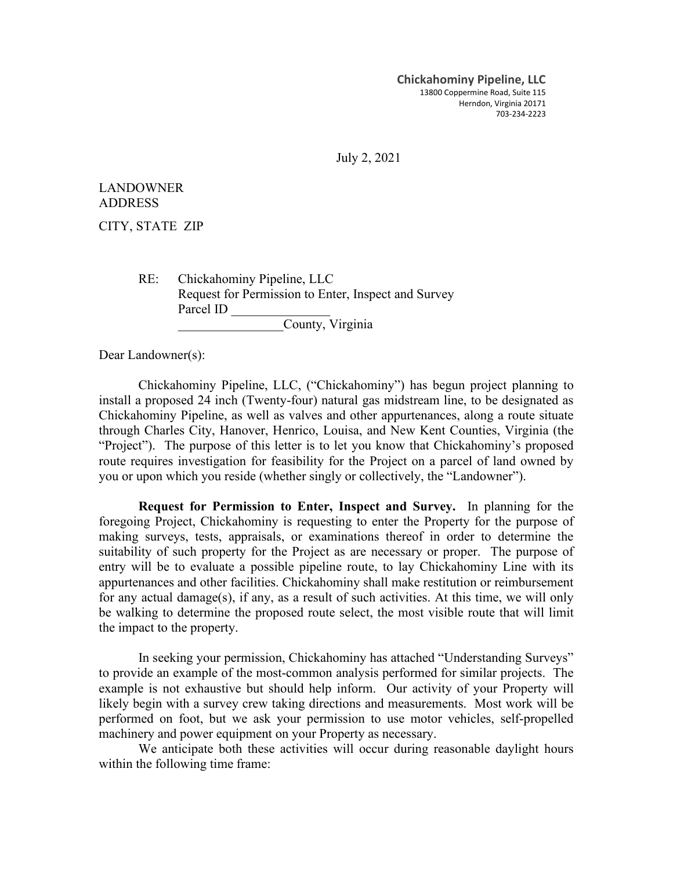**Chickahominy Pipeline, LLC** 13800 Coppermine Road, Suite 115 Herndon, Virginia 20171 703-234-2223

July 2, 2021

LANDOWNER ADDRESS

CITY, STATE ZIP

RE: Chickahominy Pipeline, LLC Request for Permission to Enter, Inspect and Survey Parcel ID \_\_\_\_\_\_\_\_\_\_\_\_\_\_\_ County, Virginia

Dear Landowner(s):

Chickahominy Pipeline, LLC, ("Chickahominy") has begun project planning to install a proposed 24 inch (Twenty-four) natural gas midstream line, to be designated as Chickahominy Pipeline, as well as valves and other appurtenances, along a route situate through Charles City, Hanover, Henrico, Louisa, and New Kent Counties, Virginia (the "Project"). The purpose of this letter is to let you know that Chickahominy's proposed route requires investigation for feasibility for the Project on a parcel of land owned by you or upon which you reside (whether singly or collectively, the "Landowner").

**Request for Permission to Enter, Inspect and Survey.** In planning for the foregoing Project, Chickahominy is requesting to enter the Property for the purpose of making surveys, tests, appraisals, or examinations thereof in order to determine the suitability of such property for the Project as are necessary or proper. The purpose of entry will be to evaluate a possible pipeline route, to lay Chickahominy Line with its appurtenances and other facilities. Chickahominy shall make restitution or reimbursement for any actual damage(s), if any, as a result of such activities. At this time, we will only be walking to determine the proposed route select, the most visible route that will limit the impact to the property.

In seeking your permission, Chickahominy has attached "Understanding Surveys" to provide an example of the most-common analysis performed for similar projects. The example is not exhaustive but should help inform. Our activity of your Property will likely begin with a survey crew taking directions and measurements. Most work will be performed on foot, but we ask your permission to use motor vehicles, self-propelled machinery and power equipment on your Property as necessary.

We anticipate both these activities will occur during reasonable daylight hours within the following time frame: